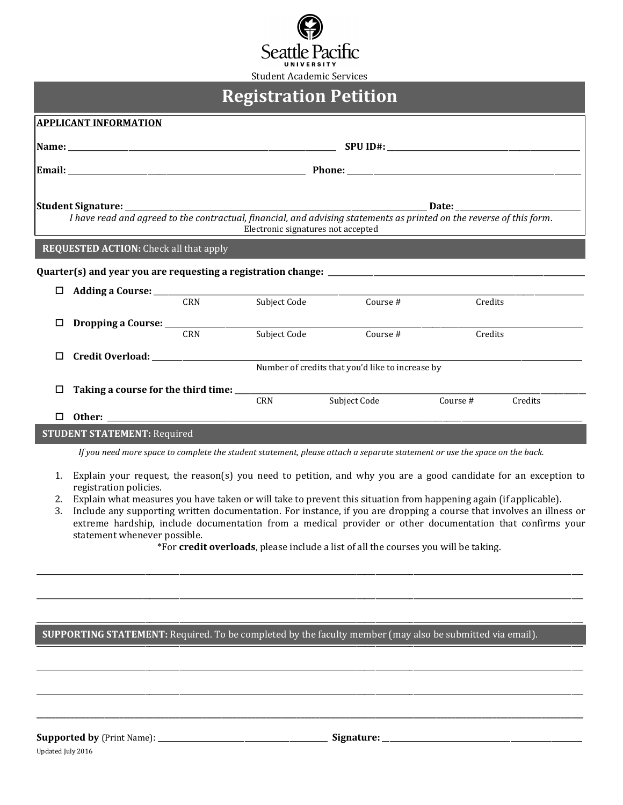

# **Registration Petition**

| <b>APPLICANT INFORMATION</b>                                                                                               |                                                                                                                                                                                                                                |              |                                                  |          |         |  |  |
|----------------------------------------------------------------------------------------------------------------------------|--------------------------------------------------------------------------------------------------------------------------------------------------------------------------------------------------------------------------------|--------------|--------------------------------------------------|----------|---------|--|--|
|                                                                                                                            |                                                                                                                                                                                                                                |              |                                                  |          |         |  |  |
|                                                                                                                            |                                                                                                                                                                                                                                |              |                                                  |          |         |  |  |
|                                                                                                                            | Date:<br>I have read and agreed to the contractual, financial, and advising statements as printed on the reverse of this form.<br>Electronic signatures not accepted                                                           |              |                                                  |          |         |  |  |
| <b>REQUESTED ACTION:</b> Check all that apply                                                                              |                                                                                                                                                                                                                                |              |                                                  |          |         |  |  |
|                                                                                                                            |                                                                                                                                                                                                                                |              |                                                  |          |         |  |  |
|                                                                                                                            |                                                                                                                                                                                                                                |              |                                                  |          |         |  |  |
|                                                                                                                            | CRN                                                                                                                                                                                                                            | Subject Code | Course #                                         | Credits  |         |  |  |
|                                                                                                                            |                                                                                                                                                                                                                                |              |                                                  |          |         |  |  |
|                                                                                                                            | <b>CRN</b>                                                                                                                                                                                                                     | Subject Code | Course #                                         | Credits  |         |  |  |
| п                                                                                                                          |                                                                                                                                                                                                                                |              |                                                  |          |         |  |  |
|                                                                                                                            |                                                                                                                                                                                                                                |              | Number of credits that you'd like to increase by |          |         |  |  |
| □                                                                                                                          |                                                                                                                                                                                                                                |              |                                                  |          |         |  |  |
|                                                                                                                            |                                                                                                                                                                                                                                | <b>CRN</b>   | Subject Code                                     | Course # | Credits |  |  |
| П.                                                                                                                         | Other: Demonstration of the contract of the contract of the contract of the contract of the contract of the contract of the contract of the contract of the contract of the contract of the contract of the contract of the co |              |                                                  |          |         |  |  |
| <b>STUDENT STATEMENT: Required</b>                                                                                         |                                                                                                                                                                                                                                |              |                                                  |          |         |  |  |
| If you need more space to complete the student statement, please attach a separate statement or use the space on the back. |                                                                                                                                                                                                                                |              |                                                  |          |         |  |  |

- 1. Explain your request, the reason(s) you need to petition, and why you are a good candidate for an exception to registration policies.
- 2. Explain what measures you have taken or will take to prevent this situation from happening again (if applicable).
- 3. Include any supporting written documentation. For instance, if you are dropping a course that involves an illness or extreme hardship, include documentation from a medical provider or other documentation that confirms your statement whenever possible.

\*For credit overloads, please include a list of all the courses you will be taking.

## SUPPORTING STATEMENT: Required. To be completed by the faculty member (may also be submitted via email).